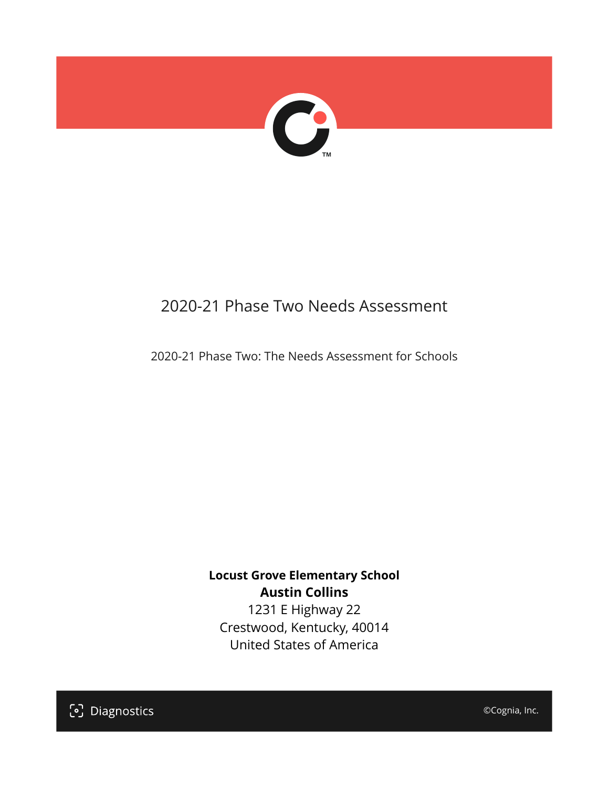

# 2020-21 Phase Two Needs Assessment

2020-21 Phase Two: The Needs Assessment for Schools

**Locust Grove Elementary School Austin Collins**

1231 E Highway 22 Crestwood, Kentucky, 40014 United States of America

[၁] Diagnostics

©Cognia, Inc.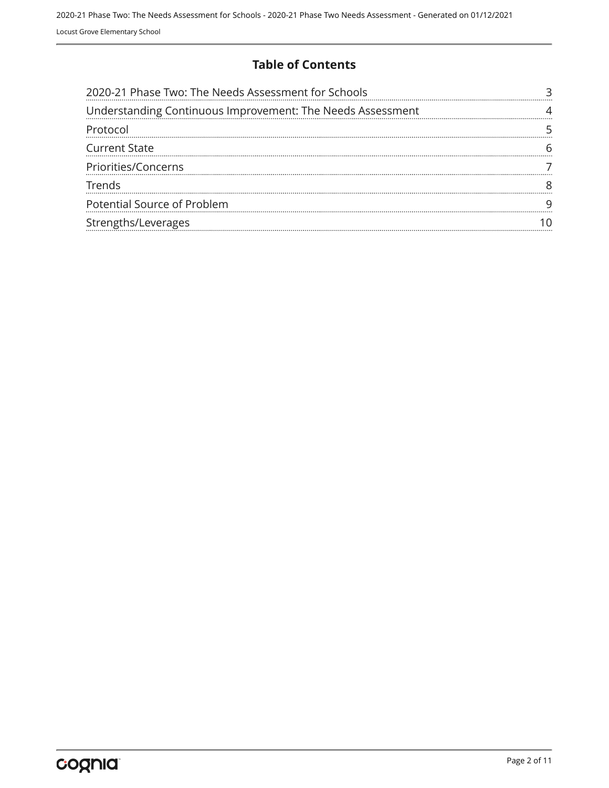#### **Table of Contents**

| 2020-21 Phase Two: The Needs Assessment for Schools        |  |
|------------------------------------------------------------|--|
| Understanding Continuous Improvement: The Needs Assessment |  |
| Protocol                                                   |  |
| <b>Current State</b>                                       |  |
| Priorities/Concerns                                        |  |
| Trends                                                     |  |
| Potential Source of Problem                                |  |
| Strengths/Leverages                                        |  |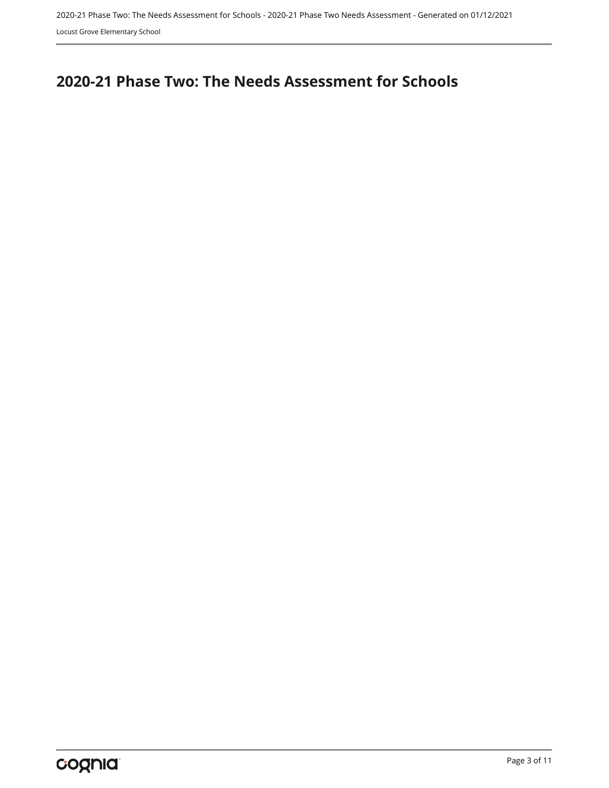Locust Grove Elementary School

# <span id="page-2-0"></span>**2020-21 Phase Two: The Needs Assessment for Schools**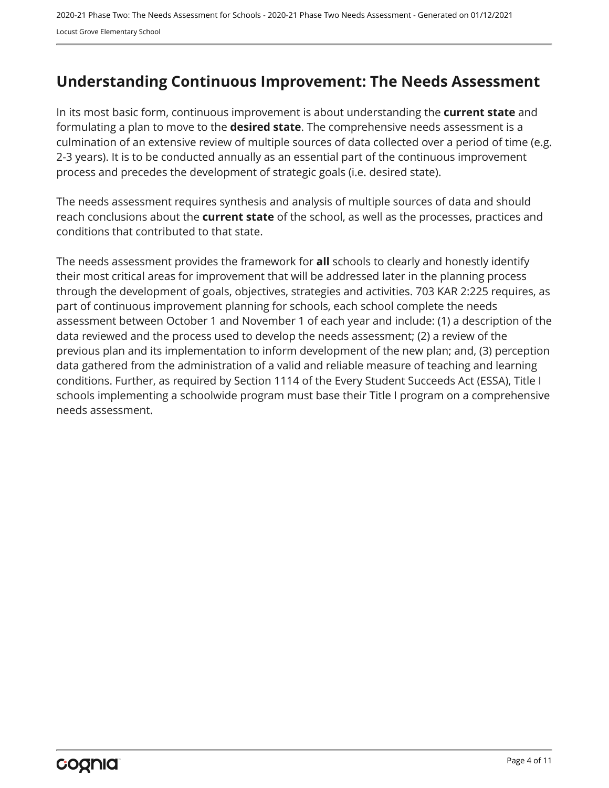### <span id="page-3-0"></span>**Understanding Continuous Improvement: The Needs Assessment**

In its most basic form, continuous improvement is about understanding the **current state** and formulating a plan to move to the **desired state**. The comprehensive needs assessment is a culmination of an extensive review of multiple sources of data collected over a period of time (e.g. 2-3 years). It is to be conducted annually as an essential part of the continuous improvement process and precedes the development of strategic goals (i.e. desired state).

The needs assessment requires synthesis and analysis of multiple sources of data and should reach conclusions about the **current state** of the school, as well as the processes, practices and conditions that contributed to that state.

The needs assessment provides the framework for **all** schools to clearly and honestly identify their most critical areas for improvement that will be addressed later in the planning process through the development of goals, objectives, strategies and activities. 703 KAR 2:225 requires, as part of continuous improvement planning for schools, each school complete the needs assessment between October 1 and November 1 of each year and include: (1) a description of the data reviewed and the process used to develop the needs assessment; (2) a review of the previous plan and its implementation to inform development of the new plan; and, (3) perception data gathered from the administration of a valid and reliable measure of teaching and learning conditions. Further, as required by Section 1114 of the Every Student Succeeds Act (ESSA), Title I schools implementing a schoolwide program must base their Title I program on a comprehensive needs assessment.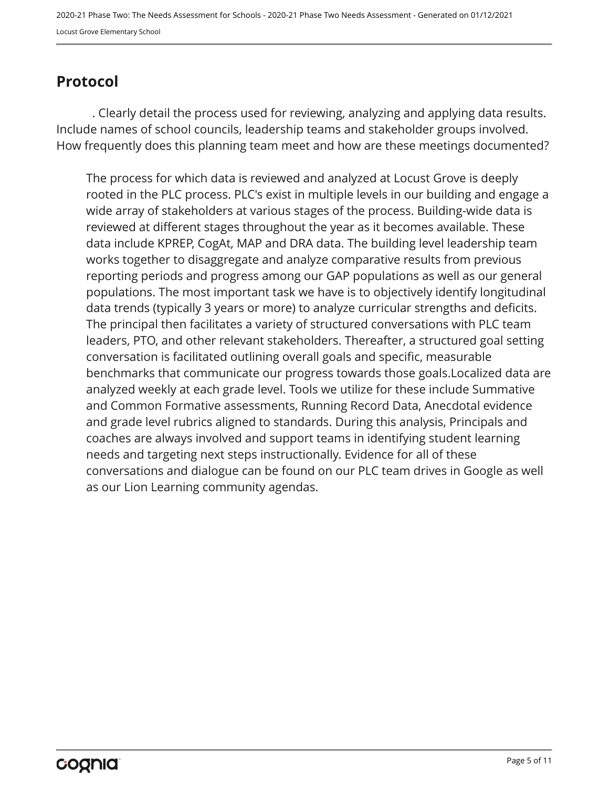## <span id="page-4-0"></span>**Protocol**

. Clearly detail the process used for reviewing, analyzing and applying data results. Include names of school councils, leadership teams and stakeholder groups involved. How frequently does this planning team meet and how are these meetings documented?

The process for which data is reviewed and analyzed at Locust Grove is deeply rooted in the PLC process. PLC's exist in multiple levels in our building and engage a wide array of stakeholders at various stages of the process. Building-wide data is reviewed at different stages throughout the year as it becomes available. These data include KPREP, CogAt, MAP and DRA data. The building level leadership team works together to disaggregate and analyze comparative results from previous reporting periods and progress among our GAP populations as well as our general populations. The most important task we have is to objectively identify longitudinal data trends (typically 3 years or more) to analyze curricular strengths and deficits. The principal then facilitates a variety of structured conversations with PLC team leaders, PTO, and other relevant stakeholders. Thereafter, a structured goal setting conversation is facilitated outlining overall goals and specific, measurable benchmarks that communicate our progress towards those goals.Localized data are analyzed weekly at each grade level. Tools we utilize for these include Summative and Common Formative assessments, Running Record Data, Anecdotal evidence and grade level rubrics aligned to standards. During this analysis, Principals and coaches are always involved and support teams in identifying student learning needs and targeting next steps instructionally. Evidence for all of these conversations and dialogue can be found on our PLC team drives in Google as well as our Lion Learning community agendas.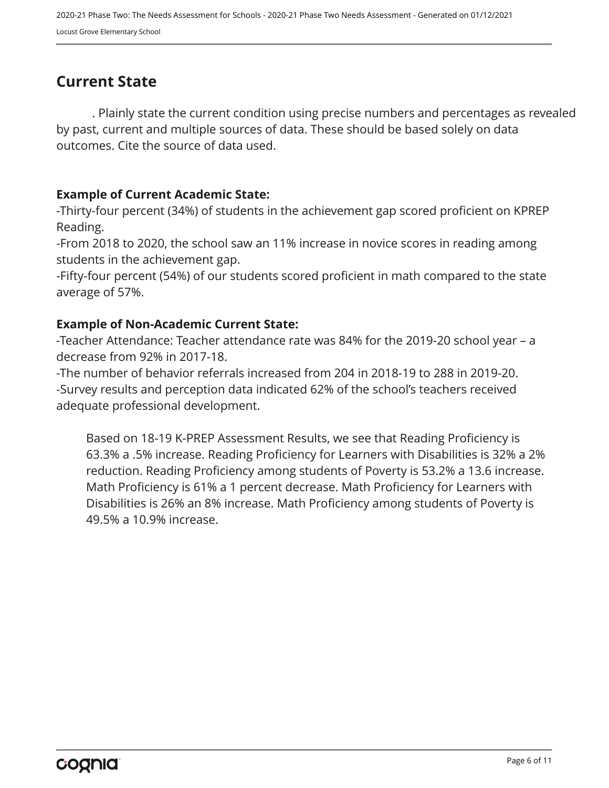## <span id="page-5-0"></span>**Current State**

. Plainly state the current condition using precise numbers and percentages as revealed by past, current and multiple sources of data. These should be based solely on data outcomes. Cite the source of data used.

#### **Example of Current Academic State:**

-Thirty-four percent (34%) of students in the achievement gap scored proficient on KPREP Reading.

-From 2018 to 2020, the school saw an 11% increase in novice scores in reading among students in the achievement gap.

-Fifty-four percent (54%) of our students scored proficient in math compared to the state average of 57%.

#### **Example of Non-Academic Current State:**

-Teacher Attendance: Teacher attendance rate was 84% for the 2019-20 school year – a decrease from 92% in 2017-18.

-The number of behavior referrals increased from 204 in 2018-19 to 288 in 2019-20. -Survey results and perception data indicated 62% of the school's teachers received adequate professional development.

Based on 18-19 K-PREP Assessment Results, we see that Reading Proficiency is 63.3% a .5% increase. Reading Proficiency for Learners with Disabilities is 32% a 2% reduction. Reading Proficiency among students of Poverty is 53.2% a 13.6 increase. Math Proficiency is 61% a 1 percent decrease. Math Proficiency for Learners with Disabilities is 26% an 8% increase. Math Proficiency among students of Poverty is 49.5% a 10.9% increase.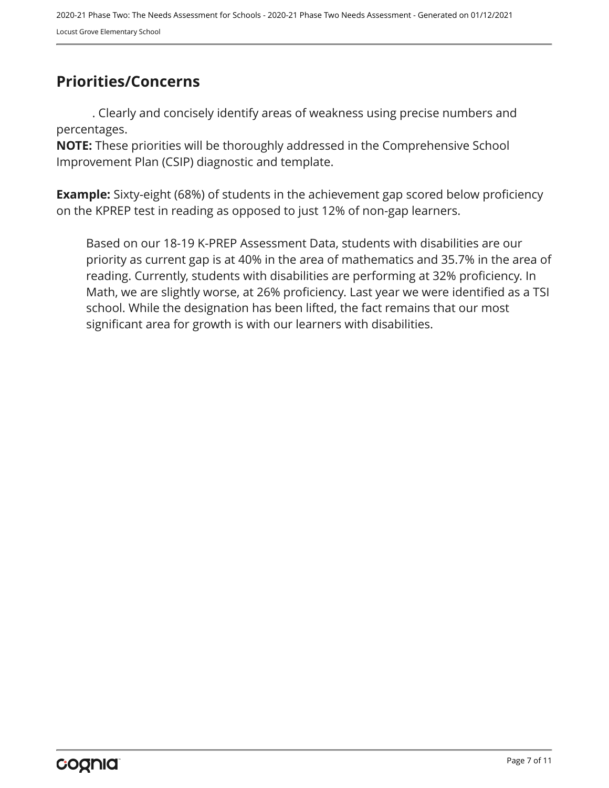## <span id="page-6-0"></span>**Priorities/Concerns**

. Clearly and concisely identify areas of weakness using precise numbers and percentages.

**NOTE:** These priorities will be thoroughly addressed in the Comprehensive School Improvement Plan (CSIP) diagnostic and template.

**Example:** Sixty-eight (68%) of students in the achievement gap scored below proficiency on the KPREP test in reading as opposed to just 12% of non-gap learners.

Based on our 18-19 K-PREP Assessment Data, students with disabilities are our priority as current gap is at 40% in the area of mathematics and 35.7% in the area of reading. Currently, students with disabilities are performing at 32% proficiency. In Math, we are slightly worse, at 26% proficiency. Last year we were identified as a TSI school. While the designation has been lifted, the fact remains that our most significant area for growth is with our learners with disabilities.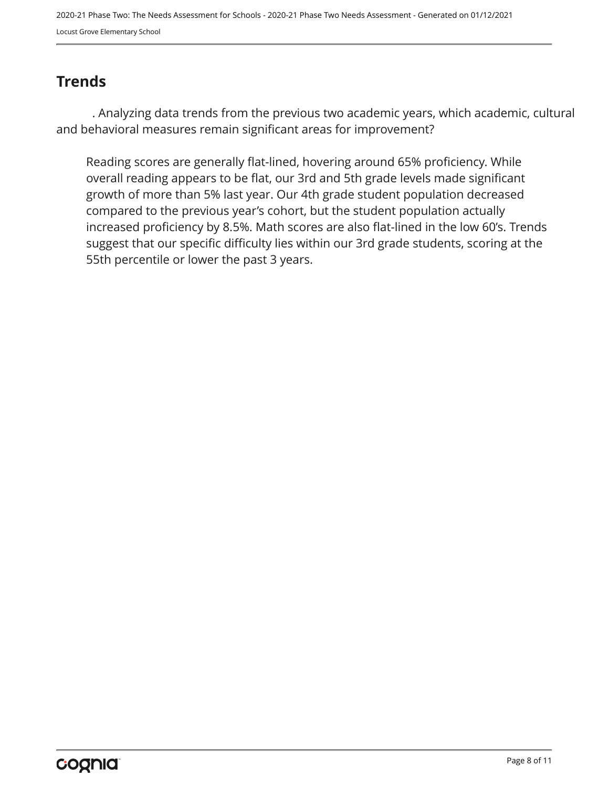2020-21 Phase Two: The Needs Assessment for Schools - 2020-21 Phase Two Needs Assessment - Generated on 01/12/2021 Locust Grove Elementary School

## <span id="page-7-0"></span>**Trends**

. Analyzing data trends from the previous two academic years, which academic, cultural and behavioral measures remain significant areas for improvement?

Reading scores are generally flat-lined, hovering around 65% proficiency. While overall reading appears to be flat, our 3rd and 5th grade levels made significant growth of more than 5% last year. Our 4th grade student population decreased compared to the previous year's cohort, but the student population actually increased proficiency by 8.5%. Math scores are also flat-lined in the low 60's. Trends suggest that our specific difficulty lies within our 3rd grade students, scoring at the 55th percentile or lower the past 3 years.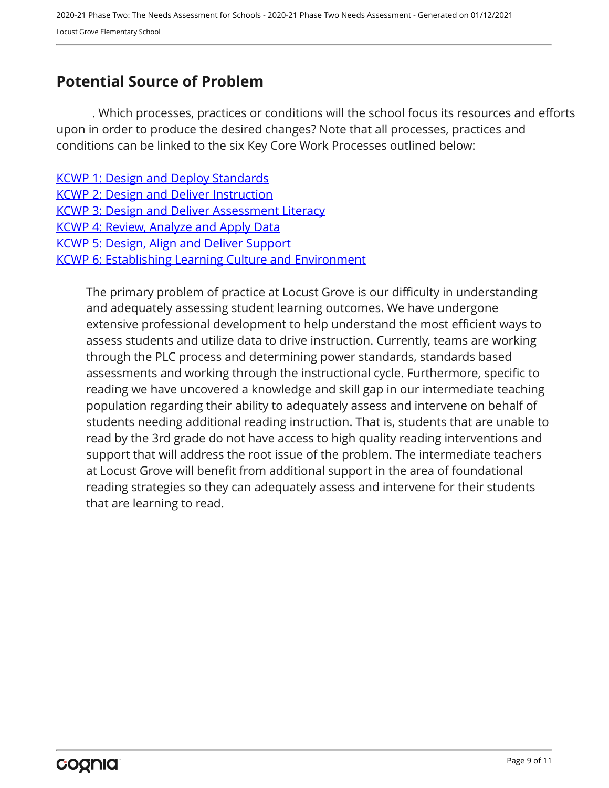## <span id="page-8-0"></span>**Potential Source of Problem**

. Which processes, practices or conditions will the school focus its resources and efforts upon in order to produce the desired changes? Note that all processes, practices and conditions can be linked to the six Key Core Work Processes outlined below:

**[KCWP 1: Design and Deploy Standards](https://education.ky.gov/school/csip/Documents/KCWP 1 Strategic Design and Deploy Standards.pdf)** [KCWP 2: Design and Deliver Instruction](https://education.ky.gov/school/csip/Documents/KCWP%202%20Strategic%20Design%20and%20Deliver%20Instruction.pdf) [KCWP 3: Design and Deliver Assessment Literacy](https://education.ky.gov/school/csip/Documents/KCWP%203%20Strategic%20Design%20and%20Deliver%20Assessment%20Literacy.pdf) [KCWP 4: Review, Analyze and Apply Data](https://education.ky.gov/school/csip/Documents/KCWP 4 Strategic Review Analyze and Apply Data.pdf) [KCWP 5: Design, Align and Deliver Support](https://education.ky.gov/school/csip/Documents/KCWP 5 Strategic Design Align Deliver Support Processes.pdf) [KCWP 6: Establishing Learning Culture and Environment](https://education.ky.gov/school/csip/Documents/KCWP 6 Strategic Establish Learning Culture and Environment.pdf)

The primary problem of practice at Locust Grove is our difficulty in understanding and adequately assessing student learning outcomes. We have undergone extensive professional development to help understand the most efficient ways to assess students and utilize data to drive instruction. Currently, teams are working through the PLC process and determining power standards, standards based assessments and working through the instructional cycle. Furthermore, specific to reading we have uncovered a knowledge and skill gap in our intermediate teaching population regarding their ability to adequately assess and intervene on behalf of students needing additional reading instruction. That is, students that are unable to read by the 3rd grade do not have access to high quality reading interventions and support that will address the root issue of the problem. The intermediate teachers at Locust Grove will benefit from additional support in the area of foundational reading strategies so they can adequately assess and intervene for their students that are learning to read.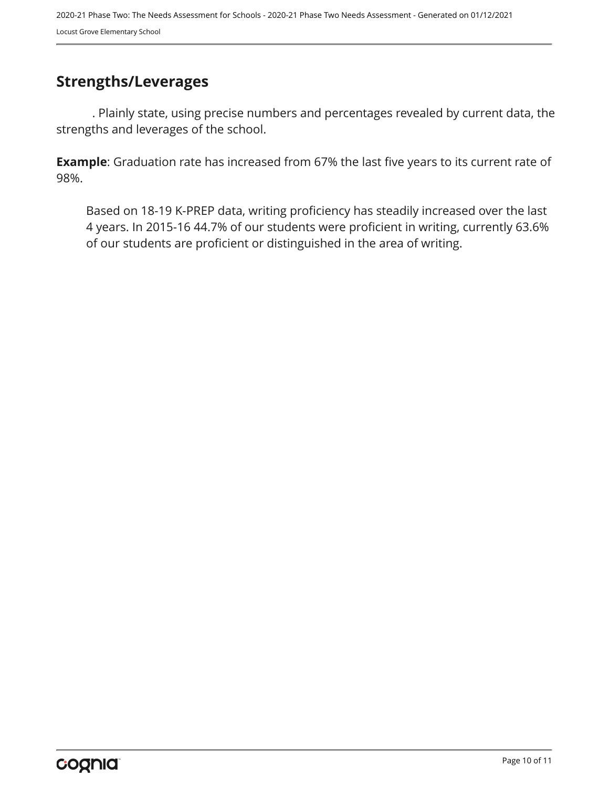## <span id="page-9-0"></span>**Strengths/Leverages**

. Plainly state, using precise numbers and percentages revealed by current data, the strengths and leverages of the school.

**Example**: Graduation rate has increased from 67% the last five years to its current rate of 98%.

Based on 18-19 K-PREP data, writing proficiency has steadily increased over the last 4 years. In 2015-16 44.7% of our students were proficient in writing, currently 63.6% of our students are proficient or distinguished in the area of writing.